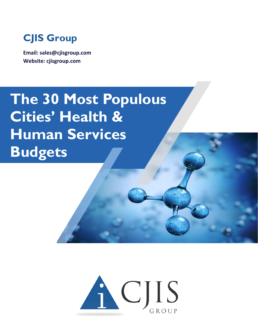

**Email: sales@cjisgroup.com Website: cjisgroup.com**

# **The 30 Most Populous Cities' Health & Human Services Budgets**

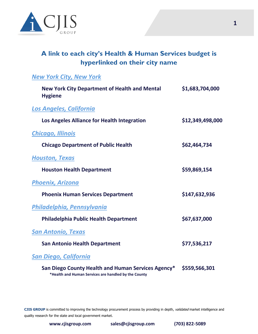

# **A link to each city's Health & Human Services budget is hyperlinked on their city name**

#### *[New York City, New York](https://council.nyc.gov/budget/fy2022/)*

| <b>New York City Department of Health and Mental</b><br><b>Hygiene</b>                                     | \$1,683,704,000  |
|------------------------------------------------------------------------------------------------------------|------------------|
| <b>Los Angeles, California</b>                                                                             |                  |
| Los Angeles Alliance for Health Integration                                                                | \$12,349,498,000 |
| <b>Chicago, Illinois</b>                                                                                   |                  |
| <b>Chicago Department of Public Health</b>                                                                 | \$62,464,734     |
| <b>Houston, Texas</b>                                                                                      |                  |
| <b>Houston Health Department</b>                                                                           | \$59,869,154     |
| <b>Phoenix, Arizona</b>                                                                                    |                  |
| <b>Phoenix Human Services Department</b>                                                                   | \$147,632,936    |
| Philadelphia, Pennsylvania                                                                                 |                  |
| Philadelphia Public Health Department                                                                      | \$67,637,000     |
| <b>San Antonio, Texas</b>                                                                                  |                  |
| <b>San Antonio Health Department</b>                                                                       | \$77,536,217     |
| <b>San Diego, California</b>                                                                               |                  |
| San Diego County Health and Human Services Agency*<br>*Health and Human Services are handled by the County | \$559,566,301    |

**CJIS GROUP** is committed to improving the technology procurement process by providing in depth, validated market intelligence and quality research for the state and local government market.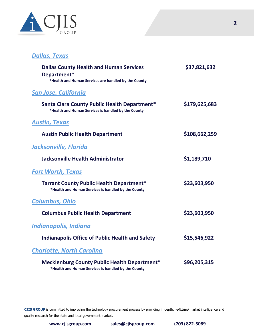

## *[Dallas, Texas](https://dallascityhall.com/departments/budget/financialtransparency/Pages/Upcoming-Budget.aspx)*

| <b>Dallas County Health and Human Services</b><br>Department*<br>*Health and Human Services are handled by the County | \$37,821,632  |
|-----------------------------------------------------------------------------------------------------------------------|---------------|
| <b>San Jose, California</b>                                                                                           |               |
| Santa Clara County Public Health Department*<br>*Health and Human Services is handled by the County                   | \$179,625,683 |
| <b>Austin, Texas</b>                                                                                                  |               |
| <b>Austin Public Health Department</b>                                                                                | \$108,662,259 |
| Jacksonville, Florida                                                                                                 |               |
| <b>Jacksonville Health Administrator</b>                                                                              | \$1,189,710   |
| <b>Fort Worth, Texas</b>                                                                                              |               |
| <b>Tarrant County Public Health Department*</b><br>*Health and Human Services is handled by the County                | \$23,603,950  |
| <b>Columbus, Ohio</b>                                                                                                 |               |
| <b>Columbus Public Health Department</b>                                                                              | \$23,603,950  |
| Indianapolis, Indiana                                                                                                 |               |
| <b>Indianapolis Office of Public Health and Safety</b>                                                                | \$15,546,922  |
| <b>Charlotte, North Carolina</b>                                                                                      |               |
| <b>Mecklenburg County Public Health Department*</b><br>*Health and Human Services is handled by the County            | \$96,205,315  |

CJIS GROUP is committed to improving the technology procurement process by providing in depth, validated market intelligence and quality research for the state and local government market.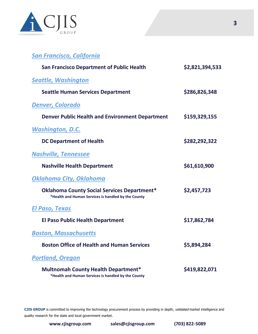

| <b>San Francisco, California</b>                                                                          |                 |
|-----------------------------------------------------------------------------------------------------------|-----------------|
| <b>San Francisco Department of Public Health</b>                                                          | \$2,821,394,533 |
| <b>Seattle, Washington</b>                                                                                |                 |
| <b>Seattle Human Services Department</b>                                                                  | \$286,826,348   |
| <b>Denver, Colorado</b>                                                                                   |                 |
| <b>Denver Public Health and Environment Department</b>                                                    | \$159,329,155   |
| <b>Washington, D.C.</b>                                                                                   |                 |
| <b>DC Department of Health</b>                                                                            | \$282,292,322   |
| <b>Nashville, Tennessee</b>                                                                               |                 |
| <b>Nashville Health Department</b>                                                                        | \$61,610,900    |
| Oklahoma City, Oklahoma                                                                                   |                 |
| <b>Oklahoma County Social Services Department*</b><br>*Health and Human Services is handled by the County | \$2,457,723     |
| <u>El Paso, Texas</u>                                                                                     |                 |
| <b>El Paso Public Health Department</b>                                                                   | \$17,862,784    |
| <b>Boston, Massachusetts</b>                                                                              |                 |
| <b>Boston Office of Health and Human Services</b>                                                         | \$5,894,284     |
| <b>Portland, Oregon</b>                                                                                   |                 |
| <b>Multnomah County Health Department*</b><br>*Health and Human Services is handled by the County         | \$419,822,071   |

CJIS GROUP is committed to improving the technology procurement process by providing in depth, validated market intelligence and quality research for the state and local government market.